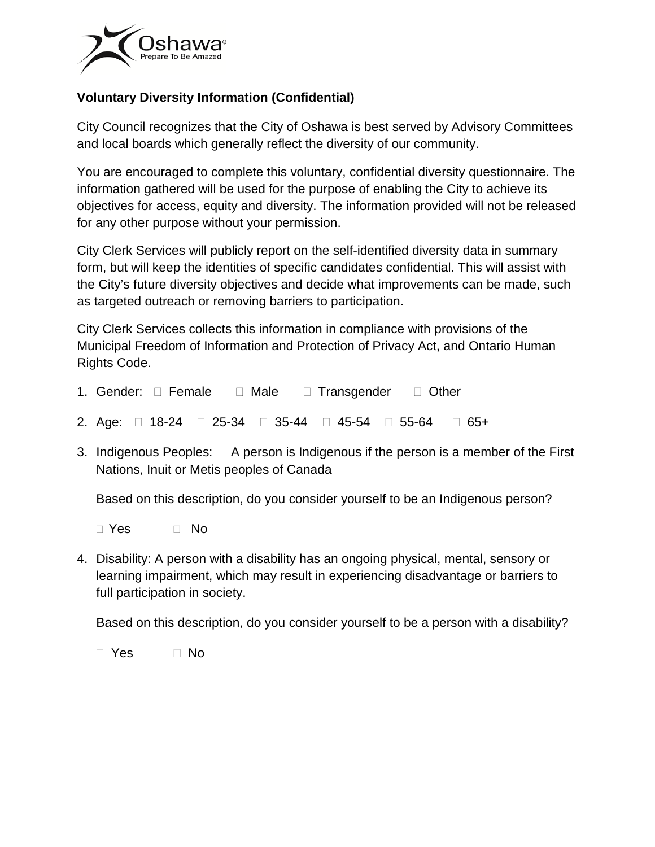

## **Voluntary Diversity Information (Confidential)**

City Council recognizes that the City of Oshawa is best served by Advisory Committees and local boards which generally reflect the diversity of our community.

You are encouraged to complete this voluntary, confidential diversity questionnaire. The information gathered will be used for the purpose of enabling the City to achieve its objectives for access, equity and diversity. The information provided will not be released for any other purpose without your permission.

City Clerk Services will publicly report on the self-identified diversity data in summary form, but will keep the identities of specific candidates confidential. This will assist with the City's future diversity objectives and decide what improvements can be made, such as targeted outreach or removing barriers to participation.

City Clerk Services collects this information in compliance with provisions of the Municipal Freedom of Information and Protection of Privacy Act, and Ontario Human Rights Code.

- 1. Gender:  $\Box$  Female  $\Box$  Male  $\Box$  Transgender  $\Box$  Other
- 2. Age:  $\Box$  18-24  $\Box$  25-34  $\Box$  35-44  $\Box$  45-54  $\Box$  55-64  $\Box$  65+
- 3. Indigenous Peoples: A person is Indigenous if the person is a member of the First Nations, Inuit or Metis peoples of Canada

Based on this description, do you consider yourself to be an Indigenous person?

□ Yes □ No

4. Disability: A person with a disability has an ongoing physical, mental, sensory or learning impairment, which may result in experiencing disadvantage or barriers to full participation in society.

Based on this description, do you consider yourself to be a person with a disability?

□ Yes □ No